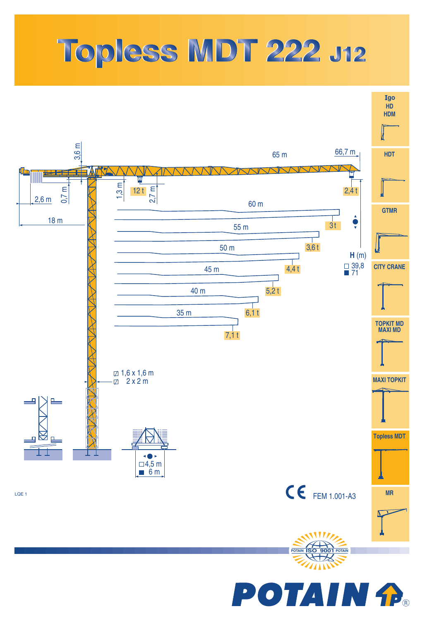## Topless MDT 222 J12



**POTAIN fP**®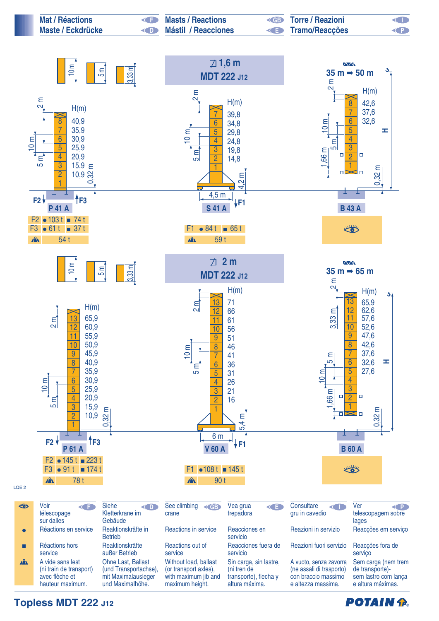

**Topless MDT 222 J12**

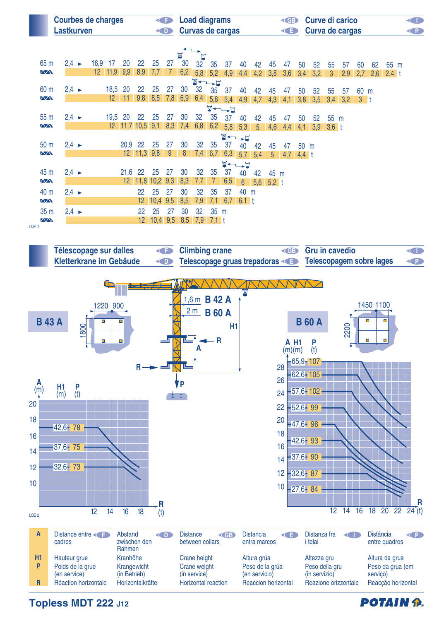| <b>Courbes de charges</b><br>GE<br><b>Lastkurven</b><br>O |  |                   |  |                 |                 | <b>Load diagrams</b><br><b>GB</b><br>Curvas de cargas<br>G |                 |      |     |     |     |             |                | <b>Curve di carico</b><br>Curva de cargas |                 |                |     |         | O<br>Q |              |     |       |     |         |  |
|-----------------------------------------------------------|--|-------------------|--|-----------------|-----------------|------------------------------------------------------------|-----------------|------|-----|-----|-----|-------------|----------------|-------------------------------------------|-----------------|----------------|-----|---------|--------|--------------|-----|-------|-----|---------|--|
|                                                           |  |                   |  |                 |                 |                                                            |                 |      |     | M   |     |             |                |                                           |                 |                |     |         |        |              |     |       |     |         |  |
| 65 m                                                      |  | $2,4 \rightarrow$ |  | 16,9            | 17              | 20                                                         | 22              | 25   | 27  | 30  | 32  | 35          | 37             | 40                                        | 42              | 45             | 47  | 50      | 52     | 55           | 57  | 60    | 62  | 65 m    |  |
| $\sqrt{N}$                                                |  |                   |  | $12 \quad 11,9$ |                 | 9,9                                                        | 8,9             | 7,7  |     | 6,2 | 5,8 | 5,2         | 4,9            | 4,4                                       | 4,2             | 3,8            | 3,6 | 3,4     | 3,2    | $\mathbf{3}$ | 2,9 | 2,7   | 2,6 | $2,4$ t |  |
|                                                           |  |                   |  |                 |                 |                                                            |                 |      |     |     |     | <b>W←→H</b> |                |                                           |                 |                |     |         |        |              |     |       |     |         |  |
| 60 m                                                      |  | $2,4 \rightarrow$ |  |                 | 18,5 20         |                                                            | 22              | 25   | 27  | 30  | 32  | 35          | 37             | 40                                        | 42              | 45             | 47  | 50      | 52     | 55           | 57  | 60 m  |     |         |  |
| $\sqrt{N}$                                                |  |                   |  |                 | 12 <sup>2</sup> | 11                                                         | 9,8             | 8,5  | 7,8 | 6,9 | 6,4 |             | $5,8$ 5,4      | 4,9                                       | 4,7             | 4,3            | 4,1 | 3,8     | 3,5    | 3,4          | 3,2 | $3-1$ |     |         |  |
|                                                           |  |                   |  |                 |                 |                                                            |                 |      |     |     |     |             | <b>W←→H</b>    |                                           |                 |                |     |         |        |              |     |       |     |         |  |
| 55 <sub>m</sub>                                           |  | $2,4 \rightarrow$ |  |                 | 19,5            | 20                                                         | 22              | 25   | 27  | 30  | 32  | 35          | 37             | 40                                        | 42              | 45             | 47  | 50      | 52     | 55           | m   |       |     |         |  |
| $\sqrt{N}$                                                |  |                   |  |                 | 12 <sup>2</sup> |                                                            | $11,7$ 10,5     | 9,1  | 8,3 | 7,4 | 6,8 | 6,2         | 5,8            | 5,3                                       | $5\overline{)}$ | 4,6            | 4,4 | 4,1     | 3,9    | $3,6$ t      |     |       |     |         |  |
|                                                           |  |                   |  |                 |                 |                                                            |                 |      |     |     |     |             |                | ॼॱ╾╌╾                                     |                 |                |     |         |        |              |     |       |     |         |  |
| 50 <sub>m</sub>                                           |  | $2,4 \rightarrow$ |  |                 |                 | 20,9 22                                                    |                 | 25   | 27  | 30  | 32  | 35          | 37             | 40                                        | 42              | 45             | 47  | 50 m    |        |              |     |       |     |         |  |
| $\sqrt{N}$                                                |  |                   |  |                 |                 |                                                            | $12 \quad 11,3$ | 9,8  | 9   | 8   | 7,4 | 6,7         | 6,3            | 5,7                                       | 5,4             | 5 <sup>5</sup> | 4,7 | $4,4$ t |        |              |     |       |     |         |  |
|                                                           |  |                   |  |                 |                 |                                                            |                 |      |     |     |     |             | $\blacksquare$ | .ㅂ                                        |                 |                |     |         |        |              |     |       |     |         |  |
| 45 m<br>$\sqrt{N}$                                        |  | $2,4 \rightarrow$ |  |                 |                 | 21,6<br>12 <sup>7</sup>                                    | 22<br>11,8      | 25   | 27  | 30  | 32  | 35          | 37             | 40                                        | 42              | 45 m           |     |         |        |              |     |       |     |         |  |
|                                                           |  |                   |  |                 |                 |                                                            |                 | 10,2 | 9,3 | 8,3 | 7,7 |             | 6,5            | $6\overline{6}$                           | 5,6             | 5,2            |     |         |        |              |     |       |     |         |  |
| 40 m                                                      |  | $2,4 \rightarrow$ |  |                 |                 |                                                            | 22              | 25   | 27  | 30  | 32  | 35          | 37             | 40                                        | m               |                |     |         |        |              |     |       |     |         |  |
| <b>AAN</b>                                                |  |                   |  |                 |                 |                                                            | 12              | 10,4 | 9,5 | 8,5 | 7,9 | 7,1         | 6,7            | $6,1$ t                                   |                 |                |     |         |        |              |     |       |     |         |  |
| 35 <sub>m</sub>                                           |  | $2,4 \rightarrow$ |  |                 |                 |                                                            | 22              | 25   | 27  | 30  | 32  | 35 m        |                |                                           |                 |                |     |         |        |              |     |       |     |         |  |
| $\sqrt{N}$                                                |  |                   |  |                 |                 |                                                            | 12.             | 10,4 | 9,5 | 8,5 | 7,9 | $7,1$ t     |                |                                           |                 |                |     |         |        |              |     |       |     |         |  |

LQE 1



**Topless MDT 222 J12**